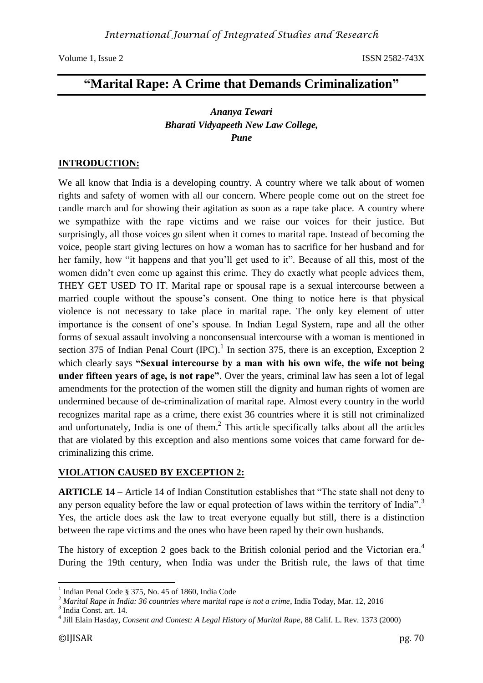Volume 1, Issue 2 ISSN 2582-743X

# **"Marital Rape: A Crime that Demands Criminalization"**

# *Ananya Tewari Bharati Vidyapeeth New Law College, Pune*

#### **INTRODUCTION:**

We all know that India is a developing country. A country where we talk about of women rights and safety of women with all our concern. Where people come out on the street foe candle march and for showing their agitation as soon as a rape take place. A country where we sympathize with the rape victims and we raise our voices for their justice. But surprisingly, all those voices go silent when it comes to marital rape. Instead of becoming the voice, people start giving lectures on how a woman has to sacrifice for her husband and for her family, how "it happens and that you'll get used to it". Because of all this, most of the women didn't even come up against this crime. They do exactly what people advices them, THEY GET USED TO IT. Marital rape or spousal rape is a sexual intercourse between a married couple without the spouse's consent. One thing to notice here is that physical violence is not necessary to take place in marital rape. The only key element of utter importance is the consent of one's spouse. In Indian Legal System, rape and all the other forms of sexual assault involving a nonconsensual intercourse with a woman is mentioned in section 375 of Indian Penal Court  $(IPC)$ .<sup>1</sup> In section 375, there is an exception, Exception 2 which clearly says **"Sexual intercourse by a man with his own wife, the wife not being under fifteen years of age, is not rape"**. Over the years, criminal law has seen a lot of legal amendments for the protection of the women still the dignity and human rights of women are undermined because of de-criminalization of marital rape. Almost every country in the world recognizes marital rape as a crime, there exist 36 countries where it is still not criminalized and unfortunately, India is one of them.<sup>2</sup> This article specifically talks about all the articles that are violated by this exception and also mentions some voices that came forward for decriminalizing this crime.

### **VIOLATION CAUSED BY EXCEPTION 2:**

**ARTICLE 14 –** Article 14 of Indian Constitution establishes that "The state shall not deny to any person equality before the law or equal protection of laws within the territory of India".<sup>3</sup> Yes, the article does ask the law to treat everyone equally but still, there is a distinction between the rape victims and the ones who have been raped by their own husbands.

The history of exception 2 goes back to the British colonial period and the Victorian era.<sup>4</sup> During the 19th century, when India was under the British rule, the laws of that time

**.** 

<sup>1</sup> Indian Penal Code § 375, No. 45 of 1860, India Code

 $^2$  *Marital Rape in India: 36 countries where marital rape is not a crime*, India Today, Mar. 12, 2016<br><sup>3</sup> India Const. art. 14

India Const. art. 14.

<sup>4</sup> Jill Elain Hasday, *Consent and Contest: A Legal History of Marital Rape*, 88 Calif. L. Rev. 1373 (2000)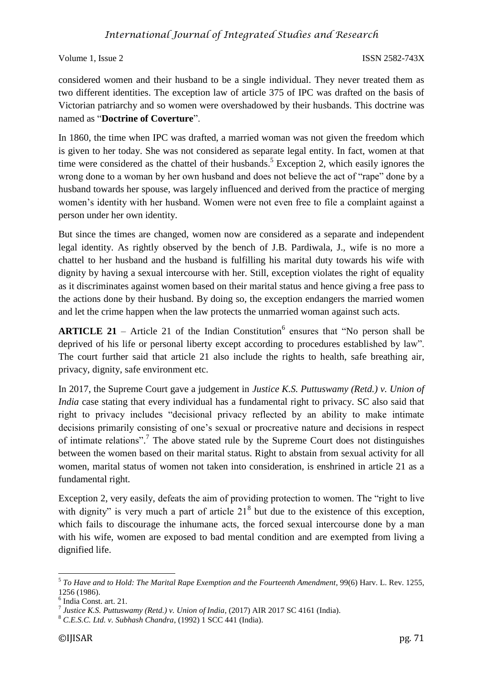Volume 1, Issue 2 ISSN 2582-743X

considered women and their husband to be a single individual. They never treated them as two different identities. The exception law of article 375 of IPC was drafted on the basis of Victorian patriarchy and so women were overshadowed by their husbands. This doctrine was named as "**Doctrine of Coverture**".

In 1860, the time when IPC was drafted, a married woman was not given the freedom which is given to her today. She was not considered as separate legal entity. In fact, women at that time were considered as the chattel of their husbands.<sup>5</sup> Exception 2, which easily ignores the wrong done to a woman by her own husband and does not believe the act of "rape" done by a husband towards her spouse, was largely influenced and derived from the practice of merging women's identity with her husband. Women were not even free to file a complaint against a person under her own identity.

But since the times are changed, women now are considered as a separate and independent legal identity. As rightly observed by the bench of J.B. Pardiwala, J., wife is no more a chattel to her husband and the husband is fulfilling his marital duty towards his wife with dignity by having a sexual intercourse with her. Still, exception violates the right of equality as it discriminates against women based on their marital status and hence giving a free pass to the actions done by their husband. By doing so, the exception endangers the married women and let the crime happen when the law protects the unmarried woman against such acts.

**ARTICLE 21** – Article 21 of the Indian Constitution<sup>6</sup> ensures that "No person shall be deprived of his life or personal liberty except according to procedures established by law". The court further said that article 21 also include the rights to health, safe breathing air, privacy, dignity, safe environment etc.

In 2017, the Supreme Court gave a judgement in *Justice K.S. Puttuswamy (Retd.) v. Union of India* case stating that every individual has a fundamental right to privacy. SC also said that right to privacy includes "decisional privacy reflected by an ability to make intimate decisions primarily consisting of one's sexual or procreative nature and decisions in respect of intimate relations".<sup>7</sup> The above stated rule by the Supreme Court does not distinguishes between the women based on their marital status. Right to abstain from sexual activity for all women, marital status of women not taken into consideration, is enshrined in article 21 as a fundamental right.

Exception 2, very easily, defeats the aim of providing protection to women. The "right to live with dignity" is very much a part of article  $21<sup>8</sup>$  but due to the existence of this exception, which fails to discourage the inhumane acts, the forced sexual intercourse done by a man with his wife, women are exposed to bad mental condition and are exempted from living a dignified life.

**<sup>.</sup>** 5 *To Have and to Hold: The Marital Rape Exemption and the Fourteenth Amendment*, 99(6) Harv. L. Rev. 1255, 1256 (1986).

<sup>6</sup> India Const. art. 21.

<sup>7</sup> *Justice K.S. Puttuswamy (Retd.) v. Union of India*, (2017) AIR 2017 SC 4161 (India).

<sup>8</sup> *C.E.S.C. Ltd. v. Subhash Chandra*, (1992) 1 SCC 441 (India).